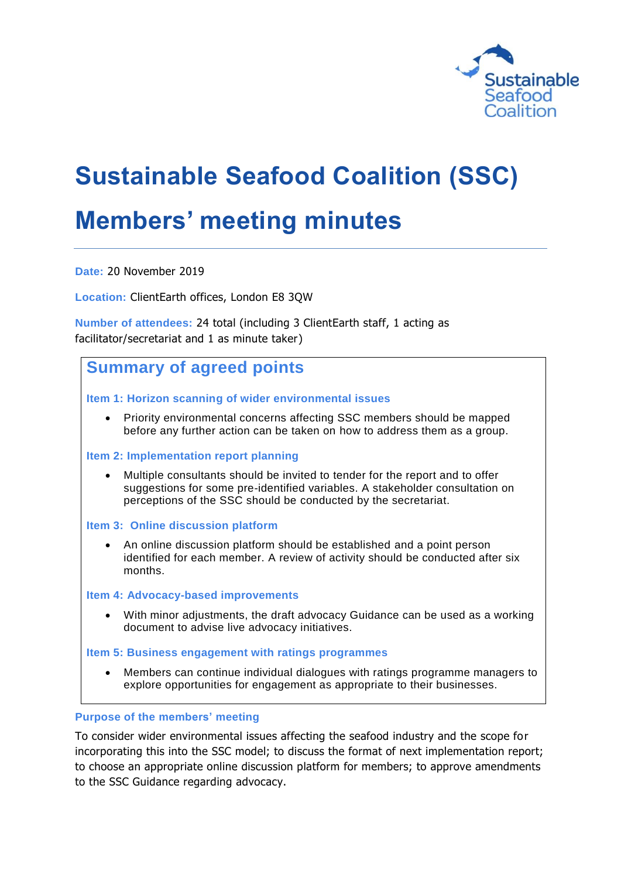

# **Sustainable Seafood Coalition (SSC)**

# **Members' meeting minutes**

**Date:** 20 November 2019

**Location:** ClientEarth offices, London E8 3QW

**Number of attendees:** 24 total (including 3 ClientEarth staff, 1 acting as facilitator/secretariat and 1 as minute taker)

## **Summary of agreed points**

**Item 1: Horizon scanning of wider environmental issues**

 Priority environmental concerns affecting SSC members should be mapped before any further action can be taken on how to address them as a group.

#### **Item 2: Implementation report planning**

- Multiple consultants should be invited to tender for the report and to offer suggestions for some pre-identified variables. A stakeholder consultation on perceptions of the SSC should be conducted by the secretariat.
- **Item 3: Online discussion platform**
	- An online discussion platform should be established and a point person identified for each member. A review of activity should be conducted after six months.

#### **Item 4: Advocacy-based improvements**

 With minor adjustments, the draft advocacy Guidance can be used as a working document to advise live advocacy initiatives.

**Item 5: Business engagement with ratings programmes**

 Members can continue individual dialogues with ratings programme managers to explore opportunities for engagement as appropriate to their businesses.

#### **Purpose of the members' meeting**

To consider wider environmental issues affecting the seafood industry and the scope for incorporating this into the SSC model; to discuss the format of next implementation report; to choose an appropriate online discussion platform for members; to approve amendments to the SSC Guidance regarding advocacy.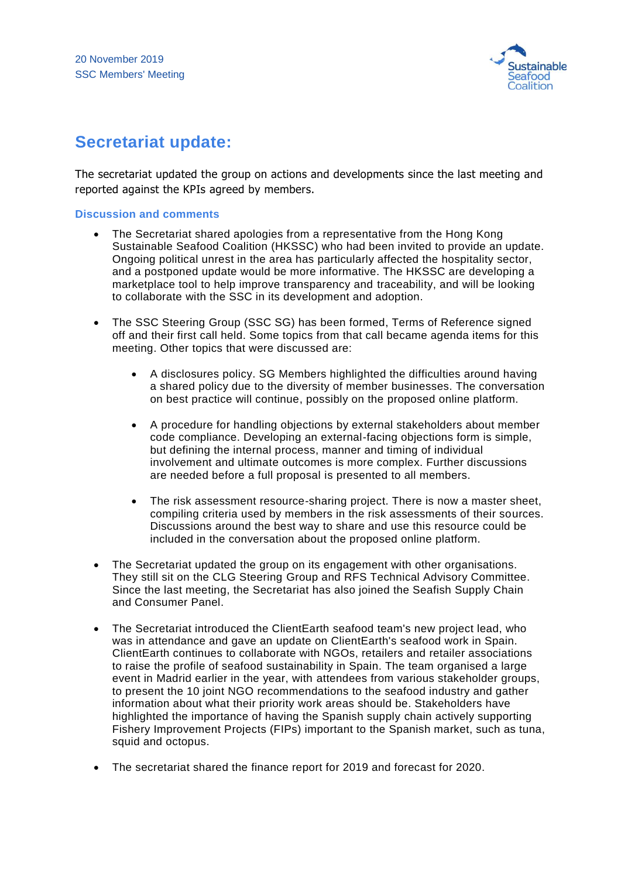

## **Secretariat update:**

The secretariat updated the group on actions and developments since the last meeting and reported against the KPIs agreed by members.

#### **Discussion and comments**

- The Secretariat shared apologies from a representative from the Hong Kong Sustainable Seafood Coalition (HKSSC) who had been invited to provide an update. Ongoing political unrest in the area has particularly affected the hospitality sector, and a postponed update would be more informative. The HKSSC are developing a marketplace tool to help improve transparency and traceability, and will be looking to collaborate with the SSC in its development and adoption.
- The SSC Steering Group (SSC SG) has been formed, Terms of Reference signed off and their first call held. Some topics from that call became agenda items for this meeting. Other topics that were discussed are:
	- A disclosures policy. SG Members highlighted the difficulties around having a shared policy due to the diversity of member businesses. The conversation on best practice will continue, possibly on the proposed online platform.
	- A procedure for handling objections by external stakeholders about member code compliance. Developing an external-facing objections form is simple, but defining the internal process, manner and timing of individual involvement and ultimate outcomes is more complex. Further discussions are needed before a full proposal is presented to all members.
	- The risk assessment resource-sharing project. There is now a master sheet, compiling criteria used by members in the risk assessments of their sources. Discussions around the best way to share and use this resource could be included in the conversation about the proposed online platform.
- The Secretariat updated the group on its engagement with other organisations. They still sit on the CLG Steering Group and RFS Technical Advisory Committee. Since the last meeting, the Secretariat has also joined the Seafish Supply Chain and Consumer Panel.
- The Secretariat introduced the ClientEarth seafood team's new project lead, who was in attendance and gave an update on ClientEarth's seafood work in Spain. ClientEarth continues to collaborate with NGOs, retailers and retailer associations to raise the profile of seafood sustainability in Spain. The team organised a large event in Madrid earlier in the year, with attendees from various stakeholder groups, to present the 10 joint NGO recommendations to the seafood industry and gather information about what their priority work areas should be. Stakeholders have highlighted the importance of having the Spanish supply chain actively supporting Fishery Improvement Projects (FIPs) important to the Spanish market, such as tuna, squid and octopus.
- The secretariat shared the finance report for 2019 and forecast for 2020.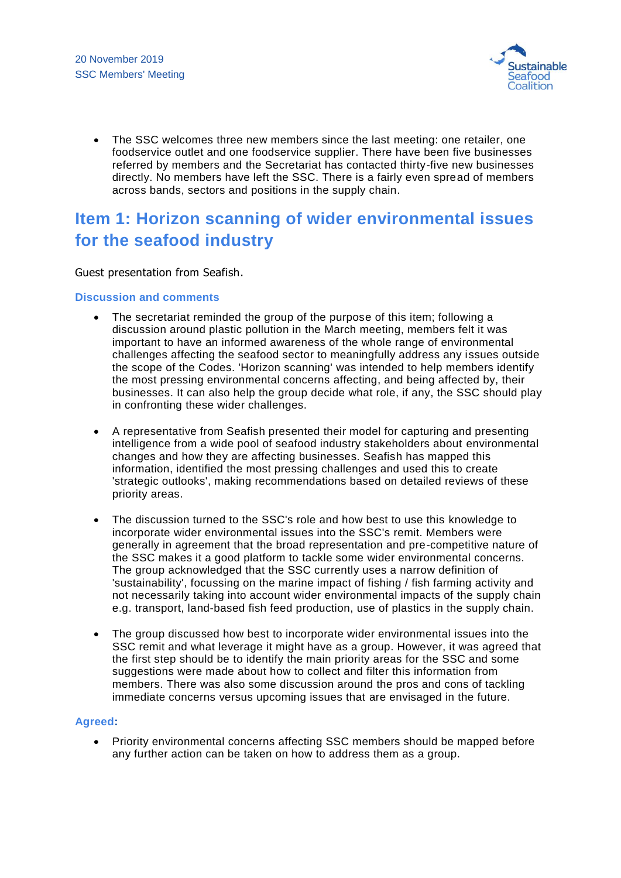

 The SSC welcomes three new members since the last meeting: one retailer, one foodservice outlet and one foodservice supplier. There have been five businesses referred by members and the Secretariat has contacted thirty-five new businesses directly. No members have left the SSC. There is a fairly even spread of members across bands, sectors and positions in the supply chain.

# **Item 1: Horizon scanning of wider environmental issues for the seafood industry**

Guest presentation from Seafish.

#### **Discussion and comments**

- The secretariat reminded the group of the purpose of this item; following a discussion around plastic pollution in the March meeting, members felt it was important to have an informed awareness of the whole range of environmental challenges affecting the seafood sector to meaningfully address any issues outside the scope of the Codes. 'Horizon scanning' was intended to help members identify the most pressing environmental concerns affecting, and being affected by, their businesses. It can also help the group decide what role, if any, the SSC should play in confronting these wider challenges.
- A representative from Seafish presented their model for capturing and presenting intelligence from a wide pool of seafood industry stakeholders about environmental changes and how they are affecting businesses. Seafish has mapped this information, identified the most pressing challenges and used this to create 'strategic outlooks', making recommendations based on detailed reviews of these priority areas.
- The discussion turned to the SSC's role and how best to use this knowledge to incorporate wider environmental issues into the SSC's remit. Members were generally in agreement that the broad representation and pre-competitive nature of the SSC makes it a good platform to tackle some wider environmental concerns. The group acknowledged that the SSC currently uses a narrow definition of 'sustainability', focussing on the marine impact of fishing / fish farming activity and not necessarily taking into account wider environmental impacts of the supply chain e.g. transport, land-based fish feed production, use of plastics in the supply chain.
- The group discussed how best to incorporate wider environmental issues into the SSC remit and what leverage it might have as a group. However, it was agreed that the first step should be to identify the main priority areas for the SSC and some suggestions were made about how to collect and filter this information from members. There was also some discussion around the pros and cons of tackling immediate concerns versus upcoming issues that are envisaged in the future.

#### **Agreed:**

• Priority environmental concerns affecting SSC members should be mapped before any further action can be taken on how to address them as a group.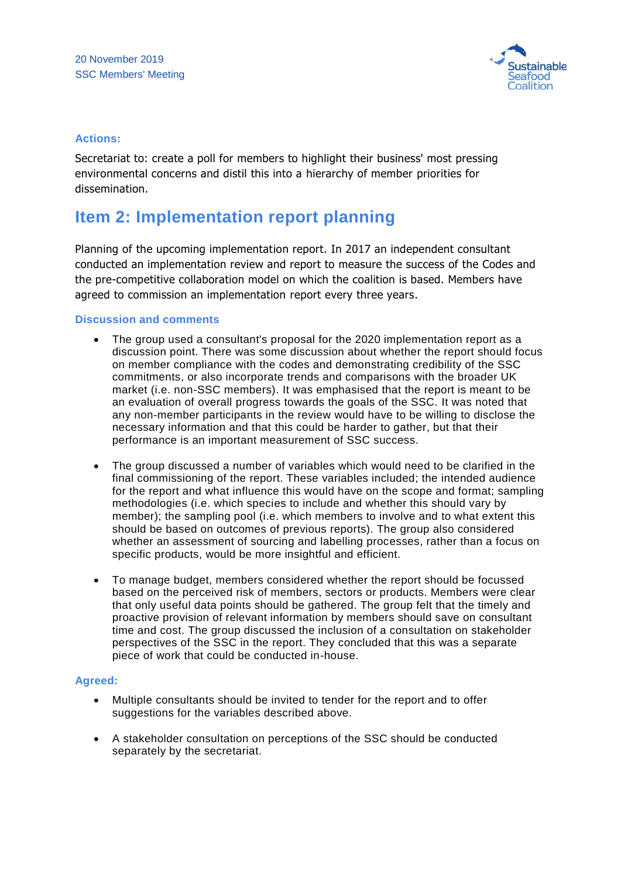

#### **Actions:**

Secretariat to: create a poll for members to highlight their business' most pressing environmental concerns and distil this into a hierarchy of member priorities for dissemination.

### **Item 2: Implementation report planning**

Planning of the upcoming implementation report. In 2017 an independent consultant conducted an implementation review and report to measure the success of the Codes and the pre-competitive collaboration model on which the coalition is based. Members have agreed to commission an implementation report every three years.

#### **Discussion and comments**

- The group used a consultant's proposal for the 2020 implementation report as a discussion point. There was some discussion about whether the report should focus on member compliance with the codes and demonstrating credibility of the SSC commitments, or also incorporate trends and comparisons with the broader UK market (i.e. non-SSC members). It was emphasised that the report is meant to be an evaluation of overall progress towards the goals of the SSC. It was noted that any non-member participants in the review would have to be willing to disclose the necessary information and that this could be harder to gather, but that their performance is an important measurement of SSC success.
- The group discussed a number of variables which would need to be clarified in the final commissioning of the report. These variables included; the intended audience for the report and what influence this would have on the scope and format; sampling methodologies (i.e. which species to include and whether this should vary by member); the sampling pool (i.e. which members to involve and to what extent this should be based on outcomes of previous reports). The group also considered whether an assessment of sourcing and labelling processes, rather than a focus on specific products, would be more insightful and efficient.
- To manage budget, members considered whether the report should be focussed based on the perceived risk of members, sectors or products. Members were clear that only useful data points should be gathered. The group felt that the timely and proactive provision of relevant information by members should save on consultant time and cost. The group discussed the inclusion of a consultation on stakeholder perspectives of the SSC in the report. They concluded that this was a separate piece of work that could be conducted in-house.

#### **Agreed:**

- Multiple consultants should be invited to tender for the report and to offer suggestions for the variables described above.
- A stakeholder consultation on perceptions of the SSC should be conducted separately by the secretariat.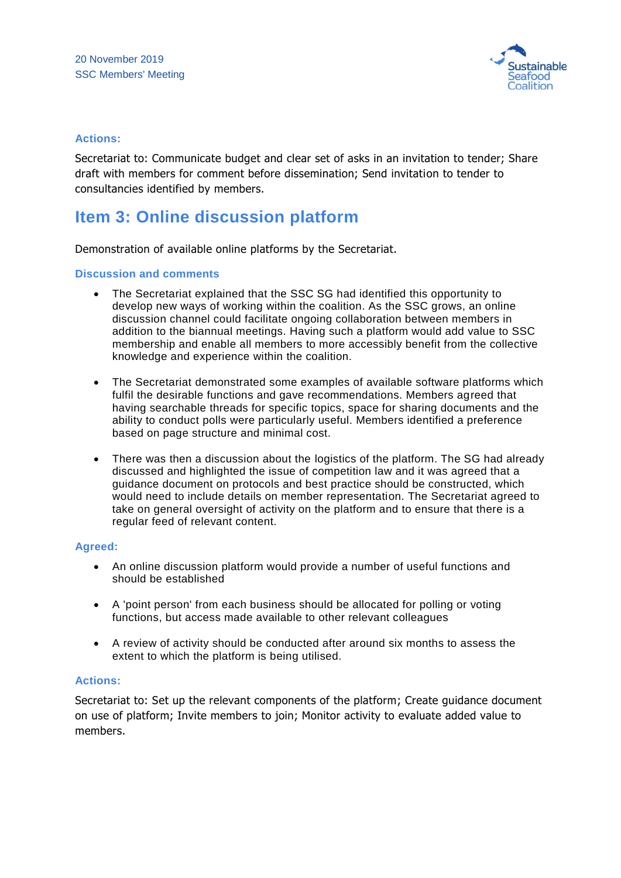

#### **Actions:**

Secretariat to: Communicate budget and clear set of asks in an invitation to tender; Share draft with members for comment before dissemination; Send invitation to tender to consultancies identified by members.

### **Item 3: Online discussion platform**

Demonstration of available online platforms by the Secretariat.

#### **Discussion and comments**

- The Secretariat explained that the SSC SG had identified this opportunity to develop new ways of working within the coalition. As the SSC grows, an online discussion channel could facilitate ongoing collaboration between members in addition to the biannual meetings. Having such a platform would add value to SSC membership and enable all members to more accessibly benefit from the collective knowledge and experience within the coalition.
- The Secretariat demonstrated some examples of available software platforms which fulfil the desirable functions and gave recommendations. Members agreed that having searchable threads for specific topics, space for sharing documents and the ability to conduct polls were particularly useful. Members identified a preference based on page structure and minimal cost.
- There was then a discussion about the logistics of the platform. The SG had already discussed and highlighted the issue of competition law and it was agreed that a guidance document on protocols and best practice should be constructed, which would need to include details on member representation. The Secretariat agreed to take on general oversight of activity on the platform and to ensure that there is a regular feed of relevant content.

#### **Agreed:**

- An online discussion platform would provide a number of useful functions and should be established
- A 'point person' from each business should be allocated for polling or voting functions, but access made available to other relevant colleagues
- A review of activity should be conducted after around six months to assess the extent to which the platform is being utilised.

#### **Actions:**

Secretariat to: Set up the relevant components of the platform; Create guidance document on use of platform; Invite members to join; Monitor activity to evaluate added value to members.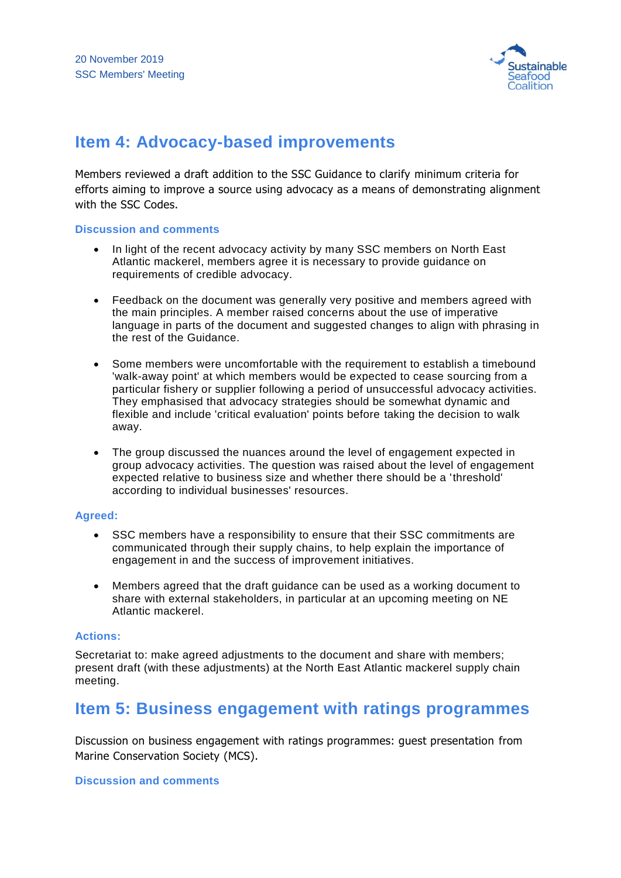

## **Item 4: Advocacy-based improvements**

Members reviewed a draft addition to the SSC Guidance to clarify minimum criteria for efforts aiming to improve a source using advocacy as a means of demonstrating alignment with the SSC Codes.

#### **Discussion and comments**

- In light of the recent advocacy activity by many SSC members on North East Atlantic mackerel, members agree it is necessary to provide guidance on requirements of credible advocacy.
- Feedback on the document was generally very positive and members agreed with the main principles. A member raised concerns about the use of imperative language in parts of the document and suggested changes to align with phrasing in the rest of the Guidance.
- Some members were uncomfortable with the requirement to establish a timebound 'walk-away point' at which members would be expected to cease sourcing from a particular fishery or supplier following a period of unsuccessful advocacy activities. They emphasised that advocacy strategies should be somewhat dynamic and flexible and include 'critical evaluation' points before taking the decision to walk away.
- The group discussed the nuances around the level of engagement expected in group advocacy activities. The question was raised about the level of engagement expected relative to business size and whether there should be a 'threshold' according to individual businesses' resources.

#### **Agreed:**

- SSC members have a responsibility to ensure that their SSC commitments are communicated through their supply chains, to help explain the importance of engagement in and the success of improvement initiatives.
- Members agreed that the draft guidance can be used as a working document to share with external stakeholders, in particular at an upcoming meeting on NE Atlantic mackerel.

#### **Actions:**

Secretariat to: make agreed adjustments to the document and share with members; present draft (with these adjustments) at the North East Atlantic mackerel supply chain meeting.

## **Item 5: Business engagement with ratings programmes**

Discussion on business engagement with ratings programmes: guest presentation from Marine Conservation Society (MCS).

#### **Discussion and comments**